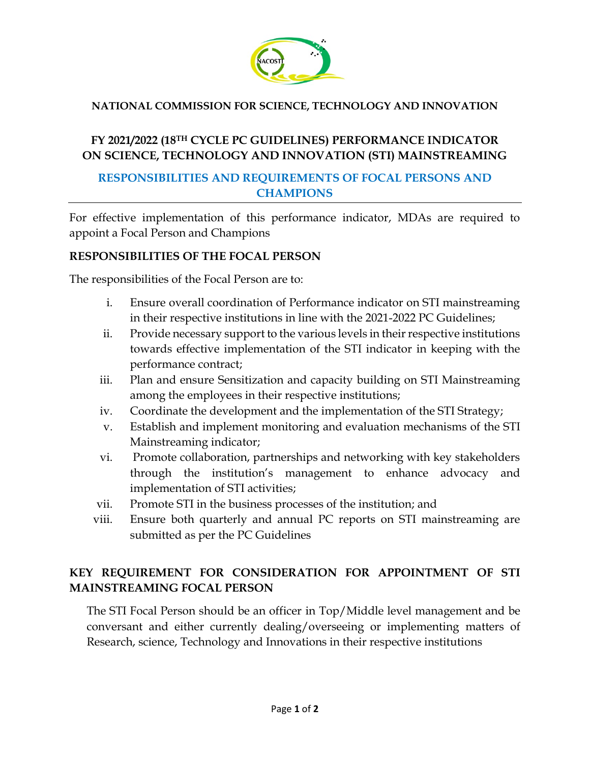

### **NATIONAL COMMISSION FOR SCIENCE, TECHNOLOGY AND INNOVATION**

# **FY 2021/2022 (18TH CYCLE PC GUIDELINES) PERFORMANCE INDICATOR ON SCIENCE, TECHNOLOGY AND INNOVATION (STI) MAINSTREAMING**

## **RESPONSIBILITIES AND REQUIREMENTS OF FOCAL PERSONS AND CHAMPIONS**

For effective implementation of this performance indicator, MDAs are required to appoint a Focal Person and Champions

#### **RESPONSIBILITIES OF THE FOCAL PERSON**

The responsibilities of the Focal Person are to:

- i. Ensure overall coordination of Performance indicator on STI mainstreaming in their respective institutions in line with the 2021-2022 PC Guidelines;
- ii. Provide necessary support to the various levels in their respective institutions towards effective implementation of the STI indicator in keeping with the performance contract;
- iii. Plan and ensure Sensitization and capacity building on STI Mainstreaming among the employees in their respective institutions;
- iv. Coordinate the development and the implementation of the STI Strategy;
- v. Establish and implement monitoring and evaluation mechanisms of the STI Mainstreaming indicator;
- vi. Promote collaboration, partnerships and networking with key stakeholders through the institution's management to enhance advocacy and implementation of STI activities;
- vii. Promote STI in the business processes of the institution; and
- viii. Ensure both quarterly and annual PC reports on STI mainstreaming are submitted as per the PC Guidelines

# **KEY REQUIREMENT FOR CONSIDERATION FOR APPOINTMENT OF STI MAINSTREAMING FOCAL PERSON**

The STI Focal Person should be an officer in Top/Middle level management and be conversant and either currently dealing/overseeing or implementing matters of Research, science, Technology and Innovations in their respective institutions